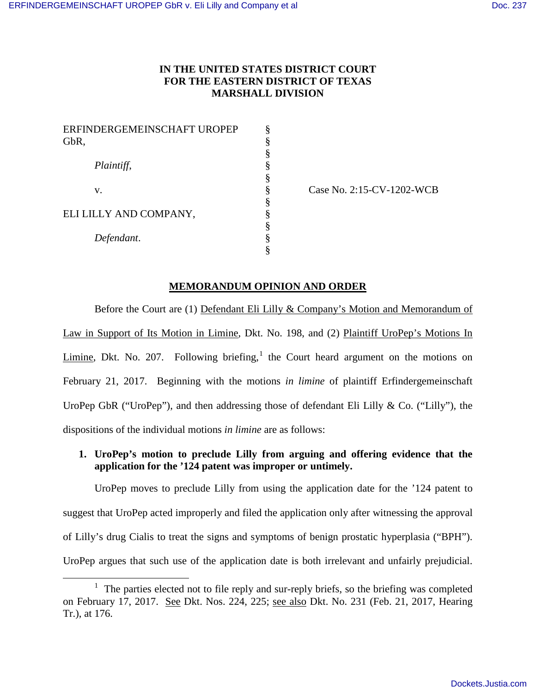# **IN THE UNITED STATES DISTRICT COURT FOR THE EASTERN DISTRICT OF TEXAS MARSHALL DIVISION**

| GbR,                   | §<br>§ |
|------------------------|--------|
|                        |        |
|                        |        |
| Plaintiff,             | §      |
|                        | §      |
| v.                     | §      |
|                        | §      |
| ELI LILLY AND COMPANY, | ş      |
|                        | §      |
| Defendant.             | §      |
|                        | 8      |

Case No. 2:15-CV-1202-WCB

#### **MEMORANDUM OPINION AND ORDER**

Before the Court are (1) Defendant Eli Lilly & Company's Motion and Memorandum of Law in Support of Its Motion in Limine, Dkt. No. 198, and (2) Plaintiff UroPep's Motions In Limine, Dkt. No. 207. Following briefing,  $1$  the Court heard argument on the motions on February 21, 2017. Beginning with the motions *in limine* of plaintiff Erfindergemeinschaft UroPep GbR ("UroPep"), and then addressing those of defendant Eli Lilly & Co. ("Lilly"), the dispositions of the individual motions *in limine* are as follows:

# **1. UroPep's motion to preclude Lilly from arguing and offering evidence that the application for the '124 patent was improper or untimely.**

UroPep moves to preclude Lilly from using the application date for the '124 patent to suggest that UroPep acted improperly and filed the application only after witnessing the approval of Lilly's drug Cialis to treat the signs and symptoms of benign prostatic hyperplasia ("BPH"). UroPep argues that such use of the application date is both irrelevant and unfairly prejudicial.

<span id="page-0-0"></span><sup>&</sup>lt;sup>1</sup> The parties elected not to file reply and sur-reply briefs, so the briefing was completed on February 17, 2017. See Dkt. Nos. 224, 225; see also Dkt. No. 231 (Feb. 21, 2017, Hearing Tr.), at 176.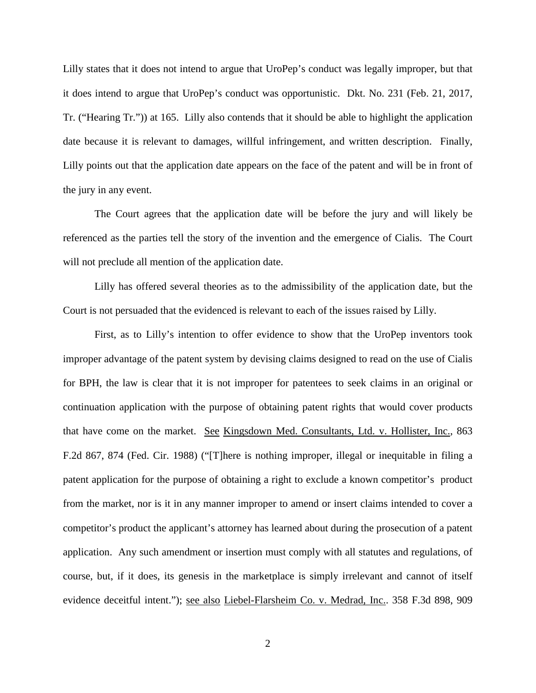Lilly states that it does not intend to argue that UroPep's conduct was legally improper, but that it does intend to argue that UroPep's conduct was opportunistic. Dkt. No. 231 (Feb. 21, 2017, Tr. ("Hearing Tr.")) at 165. Lilly also contends that it should be able to highlight the application date because it is relevant to damages, willful infringement, and written description. Finally, Lilly points out that the application date appears on the face of the patent and will be in front of the jury in any event.

The Court agrees that the application date will be before the jury and will likely be referenced as the parties tell the story of the invention and the emergence of Cialis. The Court will not preclude all mention of the application date.

Lilly has offered several theories as to the admissibility of the application date, but the Court is not persuaded that the evidenced is relevant to each of the issues raised by Lilly.

First, as to Lilly's intention to offer evidence to show that the UroPep inventors took improper advantage of the patent system by devising claims designed to read on the use of Cialis for BPH, the law is clear that it is not improper for patentees to seek claims in an original or continuation application with the purpose of obtaining patent rights that would cover products that have come on the market. See Kingsdown Med. Consultants, Ltd. v. Hollister, Inc., 863 F.2d 867, 874 (Fed. Cir. 1988) ("[T]here is nothing improper, illegal or inequitable in filing a patent application for the purpose of obtaining a right to exclude a known competitor's product from the market, nor is it in any manner improper to amend or insert claims intended to cover a competitor's product the applicant's attorney has learned about during the prosecution of a patent application. Any such amendment or insertion must comply with all statutes and regulations, of course, but, if it does, its genesis in the marketplace is simply irrelevant and cannot of itself evidence deceitful intent."); see also Liebel-Flarsheim Co. v. Medrad, Inc.. 358 F.3d 898, 909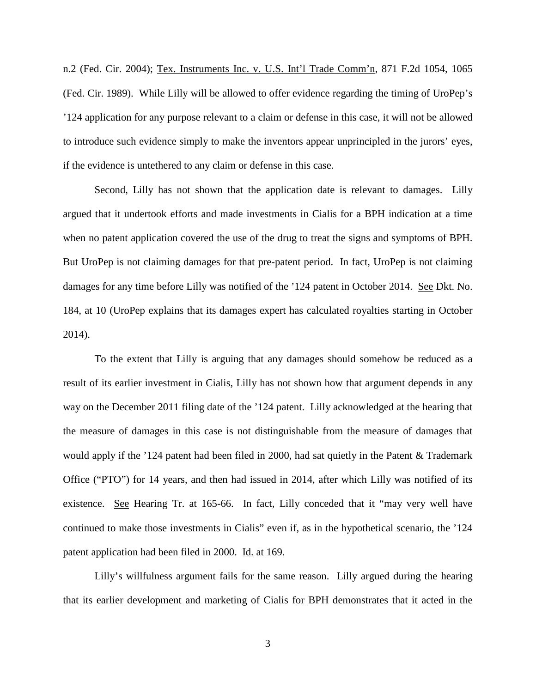n.2 (Fed. Cir. 2004); Tex. Instruments Inc. v. U.S. Int'l Trade Comm'n, 871 F.2d 1054, 1065 (Fed. Cir. 1989). While Lilly will be allowed to offer evidence regarding the timing of UroPep's '124 application for any purpose relevant to a claim or defense in this case, it will not be allowed to introduce such evidence simply to make the inventors appear unprincipled in the jurors' eyes, if the evidence is untethered to any claim or defense in this case.

Second, Lilly has not shown that the application date is relevant to damages. Lilly argued that it undertook efforts and made investments in Cialis for a BPH indication at a time when no patent application covered the use of the drug to treat the signs and symptoms of BPH. But UroPep is not claiming damages for that pre-patent period. In fact, UroPep is not claiming damages for any time before Lilly was notified of the '124 patent in October 2014. See Dkt. No. 184, at 10 (UroPep explains that its damages expert has calculated royalties starting in October 2014).

To the extent that Lilly is arguing that any damages should somehow be reduced as a result of its earlier investment in Cialis, Lilly has not shown how that argument depends in any way on the December 2011 filing date of the '124 patent. Lilly acknowledged at the hearing that the measure of damages in this case is not distinguishable from the measure of damages that would apply if the '124 patent had been filed in 2000, had sat quietly in the Patent & Trademark Office ("PTO") for 14 years, and then had issued in 2014, after which Lilly was notified of its existence. See Hearing Tr. at 165-66. In fact, Lilly conceded that it "may very well have continued to make those investments in Cialis" even if, as in the hypothetical scenario, the '124 patent application had been filed in 2000. Id. at 169.

Lilly's willfulness argument fails for the same reason. Lilly argued during the hearing that its earlier development and marketing of Cialis for BPH demonstrates that it acted in the

3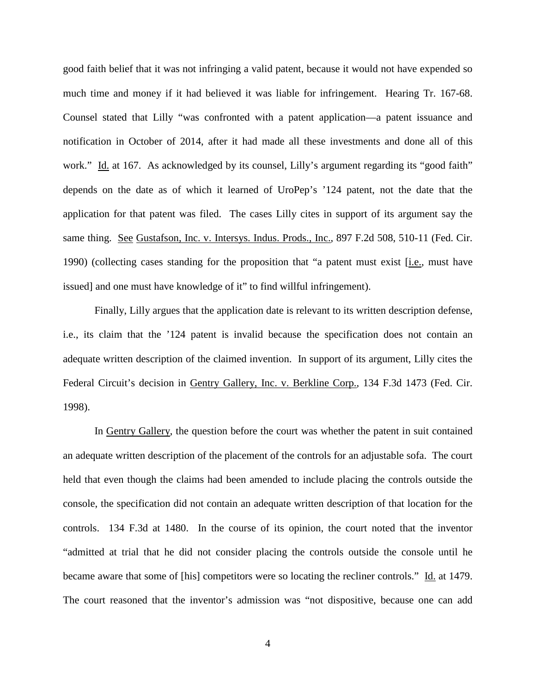good faith belief that it was not infringing a valid patent, because it would not have expended so much time and money if it had believed it was liable for infringement. Hearing Tr. 167-68. Counsel stated that Lilly "was confronted with a patent application—a patent issuance and notification in October of 2014, after it had made all these investments and done all of this work." Id. at 167. As acknowledged by its counsel, Lilly's argument regarding its "good faith" depends on the date as of which it learned of UroPep's '124 patent, not the date that the application for that patent was filed. The cases Lilly cites in support of its argument say the same thing. See Gustafson, Inc. v. Intersys. Indus. Prods., Inc., 897 F.2d 508, 510-11 (Fed. Cir. 1990) (collecting cases standing for the proposition that "a patent must exist [i.e., must have issued] and one must have knowledge of it" to find willful infringement).

Finally, Lilly argues that the application date is relevant to its written description defense, i.e., its claim that the '124 patent is invalid because the specification does not contain an adequate written description of the claimed invention. In support of its argument, Lilly cites the Federal Circuit's decision in Gentry Gallery, Inc. v. Berkline Corp., 134 F.3d 1473 (Fed. Cir. 1998).

In Gentry Gallery, the question before the court was whether the patent in suit contained an adequate written description of the placement of the controls for an adjustable sofa. The court held that even though the claims had been amended to include placing the controls outside the console, the specification did not contain an adequate written description of that location for the controls. 134 F.3d at 1480. In the course of its opinion, the court noted that the inventor "admitted at trial that he did not consider placing the controls outside the console until he became aware that some of [his] competitors were so locating the recliner controls." Id. at 1479. The court reasoned that the inventor's admission was "not dispositive, because one can add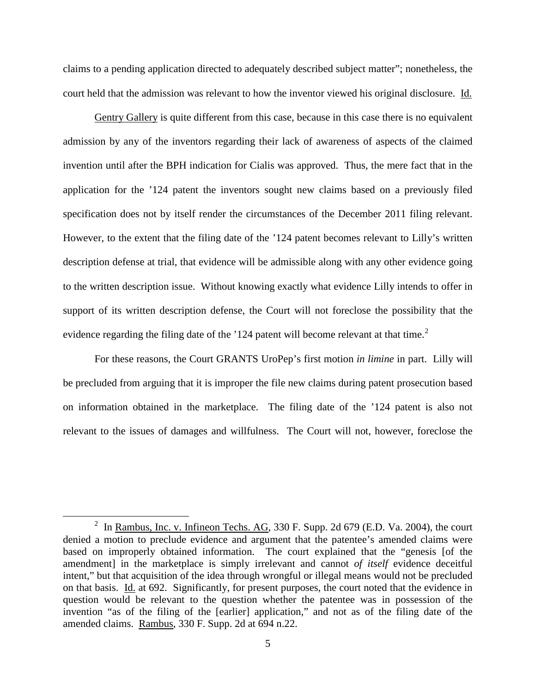claims to a pending application directed to adequately described subject matter"; nonetheless, the court held that the admission was relevant to how the inventor viewed his original disclosure. Id.

Gentry Gallery is quite different from this case, because in this case there is no equivalent admission by any of the inventors regarding their lack of awareness of aspects of the claimed invention until after the BPH indication for Cialis was approved. Thus, the mere fact that in the application for the '124 patent the inventors sought new claims based on a previously filed specification does not by itself render the circumstances of the December 2011 filing relevant. However, to the extent that the filing date of the '124 patent becomes relevant to Lilly's written description defense at trial, that evidence will be admissible along with any other evidence going to the written description issue. Without knowing exactly what evidence Lilly intends to offer in support of its written description defense, the Court will not foreclose the possibility that the evidence regarding the filing date of the  $124$  $124$  $124$  patent will become relevant at that time.<sup>2</sup>

For these reasons, the Court GRANTS UroPep's first motion *in limine* in part. Lilly will be precluded from arguing that it is improper the file new claims during patent prosecution based on information obtained in the marketplace. The filing date of the '124 patent is also not relevant to the issues of damages and willfulness. The Court will not, however, foreclose the

<span id="page-4-0"></span><sup>&</sup>lt;sup>2</sup> In <u>Rambus, Inc. v. Infineon Techs. AG</u>, 330 F. Supp. 2d 679 (E.D. Va. 2004), the court denied a motion to preclude evidence and argument that the patentee's amended claims were based on improperly obtained information. The court explained that the "genesis [of the amendment] in the marketplace is simply irrelevant and cannot *of itself* evidence deceitful intent," but that acquisition of the idea through wrongful or illegal means would not be precluded on that basis. Id. at 692. Significantly, for present purposes, the court noted that the evidence in question would be relevant to the question whether the patentee was in possession of the invention "as of the filing of the [earlier] application," and not as of the filing date of the amended claims. Rambus, 330 F. Supp. 2d at 694 n.22.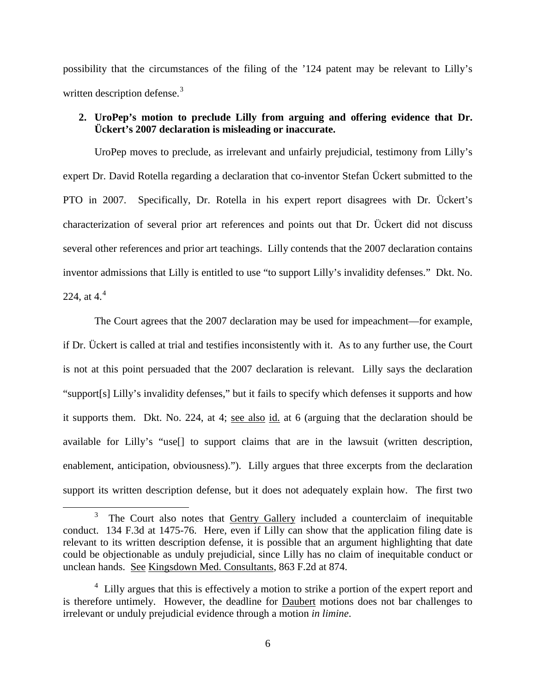possibility that the circumstances of the filing of the '124 patent may be relevant to Lilly's written description defense.<sup>[3](#page-5-0)</sup>

# **2. UroPep's motion to preclude Lilly from arguing and offering evidence that Dr. Ückert's 2007 declaration is misleading or inaccurate.**

UroPep moves to preclude, as irrelevant and unfairly prejudicial, testimony from Lilly's expert Dr. David Rotella regarding a declaration that co-inventor Stefan Ückert submitted to the PTO in 2007. Specifically, Dr. Rotella in his expert report disagrees with Dr. Ückert's characterization of several prior art references and points out that Dr. Ückert did not discuss several other references and prior art teachings. Lilly contends that the 2007 declaration contains inventor admissions that Lilly is entitled to use "to support Lilly's invalidity defenses." Dkt. No. 22[4](#page-5-1), at  $4<sup>4</sup>$ 

The Court agrees that the 2007 declaration may be used for impeachment—for example, if Dr. Ückert is called at trial and testifies inconsistently with it. As to any further use, the Court is not at this point persuaded that the 2007 declaration is relevant. Lilly says the declaration "support[s] Lilly's invalidity defenses," but it fails to specify which defenses it supports and how it supports them. Dkt. No. 224, at 4; <u>see also id.</u> at 6 (arguing that the declaration should be available for Lilly's "use[] to support claims that are in the lawsuit (written description, enablement, anticipation, obviousness)."). Lilly argues that three excerpts from the declaration support its written description defense, but it does not adequately explain how. The first two

 $\overline{a}$ 

<span id="page-5-0"></span><sup>3</sup> The Court also notes that **Gentry Gallery** included a counterclaim of inequitable conduct. 134 F.3d at 1475-76. Here, even if Lilly can show that the application filing date is relevant to its written description defense, it is possible that an argument highlighting that date could be objectionable as unduly prejudicial, since Lilly has no claim of inequitable conduct or unclean hands. See Kingsdown Med. Consultants, 863 F.2d at 874.

<span id="page-5-1"></span><sup>&</sup>lt;sup>4</sup> Lilly argues that this is effectively a motion to strike a portion of the expert report and is therefore untimely. However, the deadline for Daubert motions does not bar challenges to irrelevant or unduly prejudicial evidence through a motion *in limine*.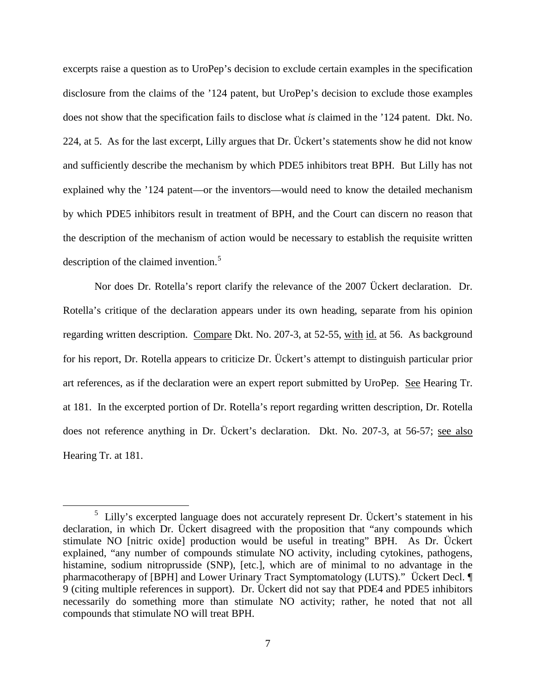excerpts raise a question as to UroPep's decision to exclude certain examples in the specification disclosure from the claims of the '124 patent, but UroPep's decision to exclude those examples does not show that the specification fails to disclose what *is* claimed in the '124 patent. Dkt. No. 224, at 5. As for the last excerpt, Lilly argues that Dr. Ückert's statements show he did not know and sufficiently describe the mechanism by which PDE5 inhibitors treat BPH. But Lilly has not explained why the '124 patent—or the inventors—would need to know the detailed mechanism by which PDE5 inhibitors result in treatment of BPH, and the Court can discern no reason that the description of the mechanism of action would be necessary to establish the requisite written description of the claimed invention.<sup>[5](#page-6-0)</sup>

Nor does Dr. Rotella's report clarify the relevance of the 2007 Ückert declaration. Dr. Rotella's critique of the declaration appears under its own heading, separate from his opinion regarding written description. Compare Dkt. No. 207-3, at 52-55, with id. at 56. As background for his report, Dr. Rotella appears to criticize Dr. Ückert's attempt to distinguish particular prior art references, as if the declaration were an expert report submitted by UroPep. See Hearing Tr. at 181. In the excerpted portion of Dr. Rotella's report regarding written description, Dr. Rotella does not reference anything in Dr. Ückert's declaration. Dkt. No. 207-3, at 56-57; see also Hearing Tr. at 181.

 $\overline{a}$ 

<span id="page-6-0"></span> $5$  Lilly's excerpted language does not accurately represent Dr. Ückert's statement in his declaration, in which Dr. Ückert disagreed with the proposition that "any compounds which stimulate NO [nitric oxide] production would be useful in treating" BPH. As Dr. Ückert explained, "any number of compounds stimulate NO activity, including cytokines, pathogens, histamine, sodium nitroprusside (SNP), [etc.], which are of minimal to no advantage in the pharmacotherapy of [BPH] and Lower Urinary Tract Symptomatology (LUTS)." Ückert Decl. ¶ 9 (citing multiple references in support). Dr. Ückert did not say that PDE4 and PDE5 inhibitors necessarily do something more than stimulate NO activity; rather, he noted that not all compounds that stimulate NO will treat BPH.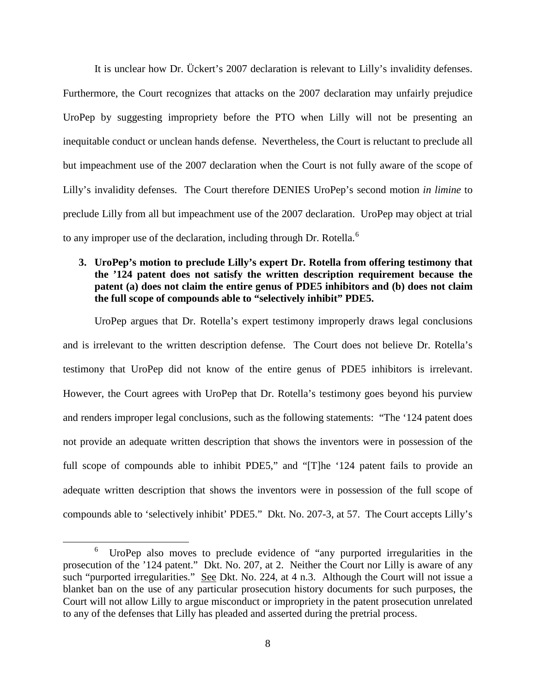It is unclear how Dr. Ückert's 2007 declaration is relevant to Lilly's invalidity defenses. Furthermore, the Court recognizes that attacks on the 2007 declaration may unfairly prejudice UroPep by suggesting impropriety before the PTO when Lilly will not be presenting an inequitable conduct or unclean hands defense. Nevertheless, the Court is reluctant to preclude all but impeachment use of the 2007 declaration when the Court is not fully aware of the scope of Lilly's invalidity defenses. The Court therefore DENIES UroPep's second motion *in limine* to preclude Lilly from all but impeachment use of the 2007 declaration. UroPep may object at trial to any improper use of the declaration, including through Dr. Rotella.<sup>[6](#page-7-0)</sup>

## **3. UroPep's motion to preclude Lilly's expert Dr. Rotella from offering testimony that the '124 patent does not satisfy the written description requirement because the patent (a) does not claim the entire genus of PDE5 inhibitors and (b) does not claim the full scope of compounds able to "selectively inhibit" PDE5.**

UroPep argues that Dr. Rotella's expert testimony improperly draws legal conclusions and is irrelevant to the written description defense. The Court does not believe Dr. Rotella's testimony that UroPep did not know of the entire genus of PDE5 inhibitors is irrelevant. However, the Court agrees with UroPep that Dr. Rotella's testimony goes beyond his purview and renders improper legal conclusions, such as the following statements: "The '124 patent does not provide an adequate written description that shows the inventors were in possession of the full scope of compounds able to inhibit PDE5," and "[T]he '124 patent fails to provide an adequate written description that shows the inventors were in possession of the full scope of compounds able to 'selectively inhibit' PDE5." Dkt. No. 207-3, at 57. The Court accepts Lilly's

<span id="page-7-0"></span><sup>6</sup> UroPep also moves to preclude evidence of "any purported irregularities in the prosecution of the '124 patent." Dkt. No. 207, at 2. Neither the Court nor Lilly is aware of any such "purported irregularities." See Dkt. No. 224, at 4 n.3. Although the Court will not issue a blanket ban on the use of any particular prosecution history documents for such purposes, the Court will not allow Lilly to argue misconduct or impropriety in the patent prosecution unrelated to any of the defenses that Lilly has pleaded and asserted during the pretrial process.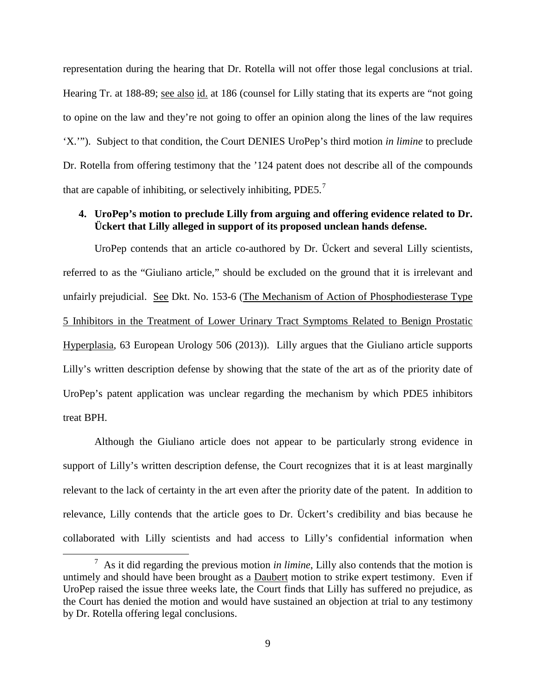representation during the hearing that Dr. Rotella will not offer those legal conclusions at trial. Hearing Tr. at 188-89; see also id. at 186 (counsel for Lilly stating that its experts are "not going to opine on the law and they're not going to offer an opinion along the lines of the law requires 'X.'"). Subject to that condition, the Court DENIES UroPep's third motion *in limine* to preclude Dr. Rotella from offering testimony that the '124 patent does not describe all of the compounds that are capable of inhibiting, or selectively inhibiting,  $PDE5<sup>7</sup>$  $PDE5<sup>7</sup>$  $PDE5<sup>7</sup>$ 

### **4. UroPep's motion to preclude Lilly from arguing and offering evidence related to Dr. Ückert that Lilly alleged in support of its proposed unclean hands defense.**

UroPep contends that an article co-authored by Dr. Ückert and several Lilly scientists, referred to as the "Giuliano article," should be excluded on the ground that it is irrelevant and unfairly prejudicial. See Dkt. No. 153-6 (The Mechanism of Action of Phosphodiesterase Type 5 Inhibitors in the Treatment of Lower Urinary Tract Symptoms Related to Benign Prostatic Hyperplasia, 63 European Urology 506 (2013)). Lilly argues that the Giuliano article supports Lilly's written description defense by showing that the state of the art as of the priority date of UroPep's patent application was unclear regarding the mechanism by which PDE5 inhibitors treat BPH.

Although the Giuliano article does not appear to be particularly strong evidence in support of Lilly's written description defense, the Court recognizes that it is at least marginally relevant to the lack of certainty in the art even after the priority date of the patent. In addition to relevance, Lilly contends that the article goes to Dr. Ückert's credibility and bias because he collaborated with Lilly scientists and had access to Lilly's confidential information when

<span id="page-8-0"></span><sup>7</sup> As it did regarding the previous motion *in limine*, Lilly also contends that the motion is untimely and should have been brought as a Daubert motion to strike expert testimony. Even if UroPep raised the issue three weeks late, the Court finds that Lilly has suffered no prejudice, as the Court has denied the motion and would have sustained an objection at trial to any testimony by Dr. Rotella offering legal conclusions.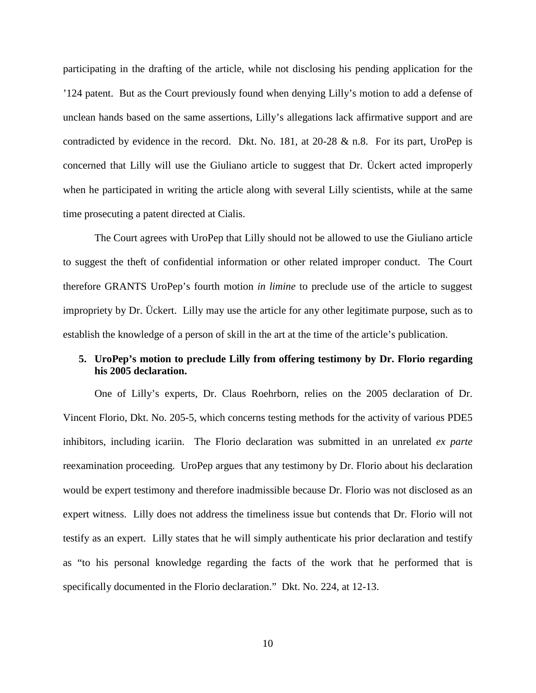participating in the drafting of the article, while not disclosing his pending application for the '124 patent. But as the Court previously found when denying Lilly's motion to add a defense of unclean hands based on the same assertions, Lilly's allegations lack affirmative support and are contradicted by evidence in the record. Dkt. No. 181, at  $20\n-28 \& n.8$ . For its part, UroPep is concerned that Lilly will use the Giuliano article to suggest that Dr. Ückert acted improperly when he participated in writing the article along with several Lilly scientists, while at the same time prosecuting a patent directed at Cialis.

The Court agrees with UroPep that Lilly should not be allowed to use the Giuliano article to suggest the theft of confidential information or other related improper conduct. The Court therefore GRANTS UroPep's fourth motion *in limine* to preclude use of the article to suggest impropriety by Dr. Ückert. Lilly may use the article for any other legitimate purpose, such as to establish the knowledge of a person of skill in the art at the time of the article's publication.

## **5. UroPep's motion to preclude Lilly from offering testimony by Dr. Florio regarding his 2005 declaration.**

One of Lilly's experts, Dr. Claus Roehrborn, relies on the 2005 declaration of Dr. Vincent Florio, Dkt. No. 205-5, which concerns testing methods for the activity of various PDE5 inhibitors, including icariin. The Florio declaration was submitted in an unrelated *ex parte* reexamination proceeding. UroPep argues that any testimony by Dr. Florio about his declaration would be expert testimony and therefore inadmissible because Dr. Florio was not disclosed as an expert witness. Lilly does not address the timeliness issue but contends that Dr. Florio will not testify as an expert. Lilly states that he will simply authenticate his prior declaration and testify as "to his personal knowledge regarding the facts of the work that he performed that is specifically documented in the Florio declaration." Dkt. No. 224, at 12-13.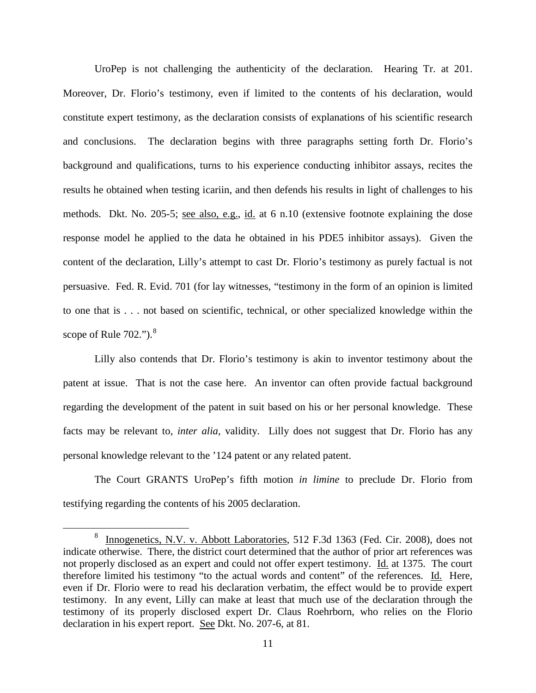UroPep is not challenging the authenticity of the declaration. Hearing Tr. at 201. Moreover, Dr. Florio's testimony, even if limited to the contents of his declaration, would constitute expert testimony, as the declaration consists of explanations of his scientific research and conclusions. The declaration begins with three paragraphs setting forth Dr. Florio's background and qualifications, turns to his experience conducting inhibitor assays, recites the results he obtained when testing icariin, and then defends his results in light of challenges to his methods. Dkt. No. 205-5; see also, e.g., id. at 6 n.10 (extensive footnote explaining the dose response model he applied to the data he obtained in his PDE5 inhibitor assays). Given the content of the declaration, Lilly's attempt to cast Dr. Florio's testimony as purely factual is not persuasive. Fed. R. Evid. 701 (for lay witnesses, "testimony in the form of an opinion is limited to one that is . . . not based on scientific, technical, or other specialized knowledge within the scope of Rule  $702$ ."). $8$ 

Lilly also contends that Dr. Florio's testimony is akin to inventor testimony about the patent at issue. That is not the case here. An inventor can often provide factual background regarding the development of the patent in suit based on his or her personal knowledge. These facts may be relevant to, *inter alia*, validity. Lilly does not suggest that Dr. Florio has any personal knowledge relevant to the '124 patent or any related patent.

The Court GRANTS UroPep's fifth motion *in limine* to preclude Dr. Florio from testifying regarding the contents of his 2005 declaration.

<span id="page-10-0"></span><sup>&</sup>lt;sup>8</sup> Innogenetics, N.V. v. Abbott Laboratories, 512 F.3d 1363 (Fed. Cir. 2008), does not indicate otherwise. There, the district court determined that the author of prior art references was not properly disclosed as an expert and could not offer expert testimony. Id. at 1375. The court therefore limited his testimony "to the actual words and content" of the references. Id. Here, even if Dr. Florio were to read his declaration verbatim, the effect would be to provide expert testimony. In any event, Lilly can make at least that much use of the declaration through the testimony of its properly disclosed expert Dr. Claus Roehrborn, who relies on the Florio declaration in his expert report. See Dkt. No. 207-6, at 81.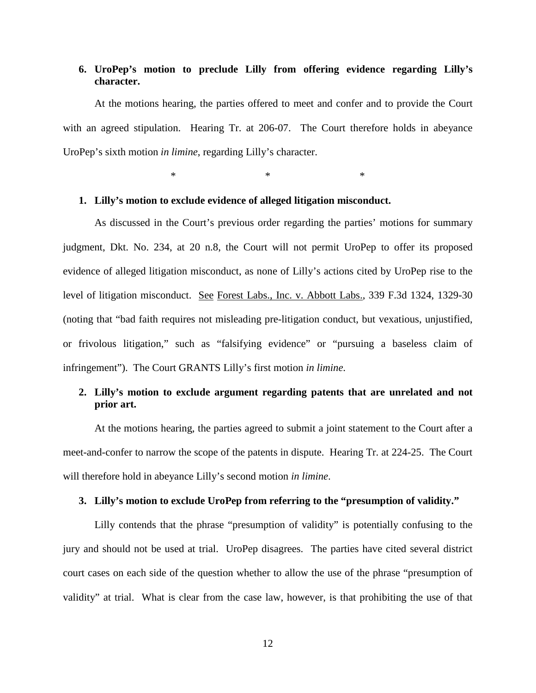### **6. UroPep's motion to preclude Lilly from offering evidence regarding Lilly's character.**

At the motions hearing, the parties offered to meet and confer and to provide the Court with an agreed stipulation. Hearing Tr. at 206-07. The Court therefore holds in abeyance UroPep's sixth motion *in limine*, regarding Lilly's character.

 $*$   $*$   $*$   $*$ 

#### **1. Lilly's motion to exclude evidence of alleged litigation misconduct.**

As discussed in the Court's previous order regarding the parties' motions for summary judgment, Dkt. No. 234, at 20 n.8, the Court will not permit UroPep to offer its proposed evidence of alleged litigation misconduct, as none of Lilly's actions cited by UroPep rise to the level of litigation misconduct. See Forest Labs., Inc. v. Abbott Labs., 339 F.3d 1324, 1329-30 (noting that "bad faith requires not misleading pre-litigation conduct, but vexatious, unjustified, or frivolous litigation," such as "falsifying evidence" or "pursuing a baseless claim of infringement"). The Court GRANTS Lilly's first motion *in limine*.

## **2. Lilly's motion to exclude argument regarding patents that are unrelated and not prior art.**

At the motions hearing, the parties agreed to submit a joint statement to the Court after a meet-and-confer to narrow the scope of the patents in dispute. Hearing Tr. at 224-25. The Court will therefore hold in abeyance Lilly's second motion *in limine*.

#### **3. Lilly's motion to exclude UroPep from referring to the "presumption of validity."**

Lilly contends that the phrase "presumption of validity" is potentially confusing to the jury and should not be used at trial. UroPep disagrees. The parties have cited several district court cases on each side of the question whether to allow the use of the phrase "presumption of validity" at trial. What is clear from the case law, however, is that prohibiting the use of that